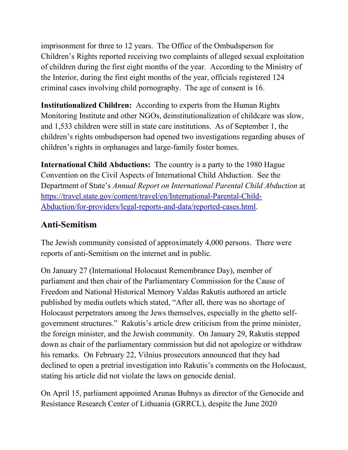imprisonment for three to 12 years. The Office of the Ombudsperson for Children's Rights reported receiving two complaints of alleged sexual exploitation of children during the first eight months of the year. According to the Ministry of the Interior, during the first eight months of the year, officials registered 124 criminal cases involving child pornography. The age of consent is 16.

**Institutionalized Children:** According to experts from the Human Rights Monitoring Institute and other NGOs, deinstitutionalization of childcare was slow, and 1,533 children were still in state care institutions. As of September 1, the children's rights ombudsperson had opened two investigations regarding abuses of children's rights in orphanages and large-family foster homes.

**International Child Abductions:** The country is a party to the 1980 Hague Convention on the Civil Aspects of International Child Abduction. See the Department of State's *Annual Report on International Parental Child Abduction* at [https://travel.state.gov/content/travel/en/International-Parental-Child-](https://travel.state.gov/content/travel/en/International-Parental-Child-Abduction/for-providers/legal-reports-and-data/reported-cases.html)[Abduction/for-providers/legal-reports-and-data/reported-cases.html.](https://travel.state.gov/content/travel/en/International-Parental-Child-Abduction/for-providers/legal-reports-and-data/reported-cases.html)

# **Anti-Semitism**

The Jewish community consisted of approximately 4,000 persons. There were reports of anti-Semitism on the internet and in public.

On January 27 (International Holocaust Remembrance Day), member of parliament and then chair of the Parliamentary Commission for the Cause of Freedom and National Historical Memory Valdas Rakutis authored an article published by media outlets which stated, "After all, there was no shortage of Holocaust perpetrators among the Jews themselves, especially in the ghetto selfgovernment structures." Rakutis's article drew criticism from the prime minister, the foreign minister, and the Jewish community. On January 29, Rakutis stepped down as chair of the parliamentary commission but did not apologize or withdraw his remarks. On February 22, Vilnius prosecutors announced that they had declined to open a pretrial investigation into Rakutis's comments on the Holocaust, stating his article did not violate the laws on genocide denial.

On April 15, parliament appointed Arunas Bubnys as director of the Genocide and Resistance Research Center of Lithuania (GRRCL), despite the June 2020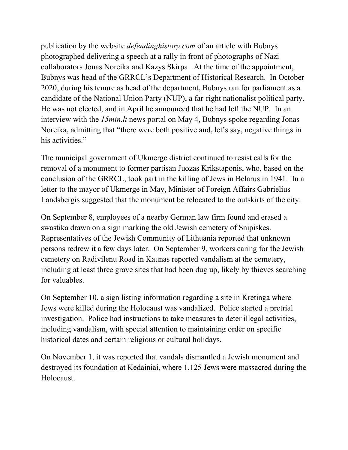publication by the website *defendinghistory.com* of an article with Bubnys photographed delivering a speech at a rally in front of photographs of Nazi collaborators Jonas Noreika and Kazys Skirpa. At the time of the appointment, Bubnys was head of the GRRCL's Department of Historical Research. In October 2020, during his tenure as head of the department, Bubnys ran for parliament as a candidate of the National Union Party (NUP), a far-right nationalist political party. He was not elected, and in April he announced that he had left the NUP. In an interview with the *15min.lt* news portal on May 4, Bubnys spoke regarding Jonas Noreika, admitting that "there were both positive and, let's say, negative things in his activities."

The municipal government of Ukmerge district continued to resist calls for the removal of a monument to former partisan Juozas Krikstaponis, who, based on the conclusion of the GRRCL, took part in the killing of Jews in Belarus in 1941. In a letter to the mayor of Ukmerge in May, Minister of Foreign Affairs Gabrielius Landsbergis suggested that the monument be relocated to the outskirts of the city.

On September 8, employees of a nearby German law firm found and erased a swastika drawn on a sign marking the old Jewish cemetery of Snipiskes. Representatives of the Jewish Community of Lithuania reported that unknown persons redrew it a few days later. On September 9, workers caring for the Jewish cemetery on Radivilenu Road in Kaunas reported vandalism at the cemetery, including at least three grave sites that had been dug up, likely by thieves searching for valuables.

On September 10, a sign listing information regarding a site in Kretinga where Jews were killed during the Holocaust was vandalized. Police started a pretrial investigation. Police had instructions to take measures to deter illegal activities, including vandalism, with special attention to maintaining order on specific historical dates and certain religious or cultural holidays.

On November 1, it was reported that vandals dismantled a Jewish monument and destroyed its foundation at Kedainiai, where 1,125 Jews were massacred during the Holocaust.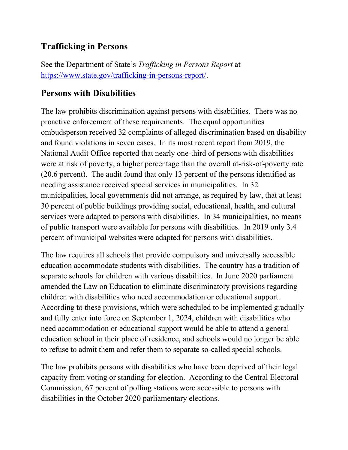### **Trafficking in Persons**

See the Department of State's *Trafficking in Persons Report* at [https://www.state.gov/trafficking-in-persons-report/.](http://www.state.gov/j/tip/rls/tiprpt/)

### **Persons with Disabilities**

The law prohibits discrimination against persons with disabilities. There was no proactive enforcement of these requirements. The equal opportunities ombudsperson received 32 complaints of alleged discrimination based on disability and found violations in seven cases. In its most recent report from 2019, the National Audit Office reported that nearly one-third of persons with disabilities were at risk of poverty, a higher percentage than the overall at-risk-of-poverty rate (20.6 percent). The audit found that only 13 percent of the persons identified as needing assistance received special services in municipalities. In 32 municipalities, local governments did not arrange, as required by law, that at least 30 percent of public buildings providing social, educational, health, and cultural services were adapted to persons with disabilities. In 34 municipalities, no means of public transport were available for persons with disabilities. In 2019 only 3.4 percent of municipal websites were adapted for persons with disabilities.

The law requires all schools that provide compulsory and universally accessible education accommodate students with disabilities. The country has a tradition of separate schools for children with various disabilities. In June 2020 parliament amended the Law on Education to eliminate discriminatory provisions regarding children with disabilities who need accommodation or educational support. According to these provisions, which were scheduled to be implemented gradually and fully enter into force on September 1, 2024, children with disabilities who need accommodation or educational support would be able to attend a general education school in their place of residence, and schools would no longer be able to refuse to admit them and refer them to separate so-called special schools.

The law prohibits persons with disabilities who have been deprived of their legal capacity from voting or standing for election. According to the Central Electoral Commission, 67 percent of polling stations were accessible to persons with disabilities in the October 2020 parliamentary elections.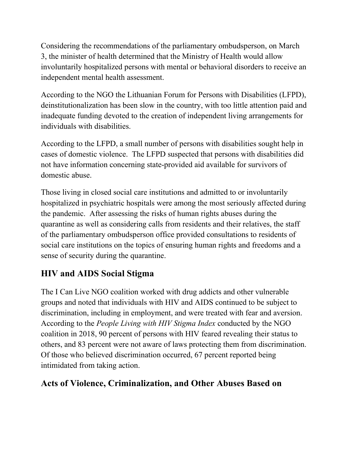Considering the recommendations of the parliamentary ombudsperson, on March 3, the minister of health determined that the Ministry of Health would allow involuntarily hospitalized persons with mental or behavioral disorders to receive an independent mental health assessment.

According to the NGO the Lithuanian Forum for Persons with Disabilities (LFPD), deinstitutionalization has been slow in the country, with too little attention paid and inadequate funding devoted to the creation of independent living arrangements for individuals with disabilities.

According to the LFPD, a small number of persons with disabilities sought help in cases of domestic violence. The LFPD suspected that persons with disabilities did not have information concerning state-provided aid available for survivors of domestic abuse.

Those living in closed social care institutions and admitted to or involuntarily hospitalized in psychiatric hospitals were among the most seriously affected during the pandemic. After assessing the risks of human rights abuses during the quarantine as well as considering calls from residents and their relatives, the staff of the parliamentary ombudsperson office provided consultations to residents of social care institutions on the topics of ensuring human rights and freedoms and a sense of security during the quarantine.

# **HIV and AIDS Social Stigma**

The I Can Live NGO coalition worked with drug addicts and other vulnerable groups and noted that individuals with HIV and AIDS continued to be subject to discrimination, including in employment, and were treated with fear and aversion. According to the *People Living with HIV Stigma Index* conducted by the NGO coalition in 2018, 90 percent of persons with HIV feared revealing their status to others, and 83 percent were not aware of laws protecting them from discrimination. Of those who believed discrimination occurred, 67 percent reported being intimidated from taking action.

# **Acts of Violence, Criminalization, and Other Abuses Based on**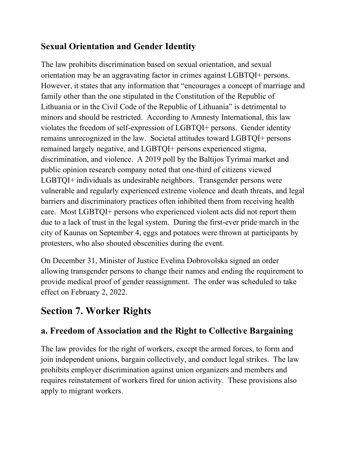### **Sexual Orientation and Gender Identity**

The law prohibits discrimination based on sexual orientation, and sexual orientation may be an aggravating factor in crimes against LGBTQI+ persons. However, it states that any information that "encourages a concept of marriage and family other than the one stipulated in the Constitution of the Republic of Lithuania or in the Civil Code of the Republic of Lithuania" is detrimental to minors and should be restricted. According to Amnesty International, this law violates the freedom of self-expression of LGBTQI+ persons. Gender identity remains unrecognized in the law. Societal attitudes toward LGBTQI+ persons remained largely negative, and LGBTQI+ persons experienced stigma, discrimination, and violence. A 2019 poll by the Baltijos Tyrimai market and public opinion research company noted that one-third of citizens viewed LGBTQI+ individuals as undesirable neighbors. Transgender persons were vulnerable and regularly experienced extreme violence and death threats, and legal barriers and discriminatory practices often inhibited them from receiving health care. Most LGBTQI+ persons who experienced violent acts did not report them due to a lack of trust in the legal system. During the first-ever pride march in the city of Kaunas on September 4, eggs and potatoes were thrown at participants by protesters, who also shouted obscenities during the event.

On December 31, Minister of Justice Evelina Dobrovolska signed an order allowing transgender persons to change their names and ending the requirement to provide medical proof of gender reassignment. The order was scheduled to take effect on February 2, 2022.

# **Section 7. Worker Rights**

# **a. Freedom of Association and the Right to Collective Bargaining**

The law provides for the right of workers, except the armed forces, to form and join independent unions, bargain collectively, and conduct legal strikes. The law prohibits employer discrimination against union organizers and members and requires reinstatement of workers fired for union activity. These provisions also apply to migrant workers.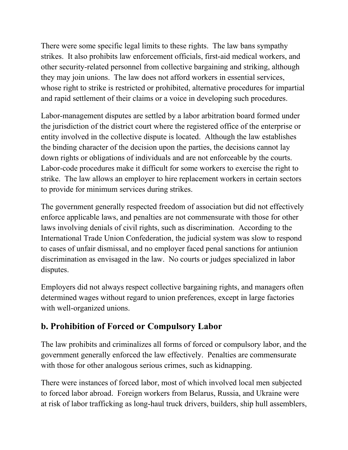There were some specific legal limits to these rights. The law bans sympathy strikes. It also prohibits law enforcement officials, first-aid medical workers, and other security-related personnel from collective bargaining and striking, although they may join unions. The law does not afford workers in essential services, whose right to strike is restricted or prohibited, alternative procedures for impartial and rapid settlement of their claims or a voice in developing such procedures.

Labor-management disputes are settled by a labor arbitration board formed under the jurisdiction of the district court where the registered office of the enterprise or entity involved in the collective dispute is located. Although the law establishes the binding character of the decision upon the parties, the decisions cannot lay down rights or obligations of individuals and are not enforceable by the courts. Labor-code procedures make it difficult for some workers to exercise the right to strike. The law allows an employer to hire replacement workers in certain sectors to provide for minimum services during strikes.

The government generally respected freedom of association but did not effectively enforce applicable laws, and penalties are not commensurate with those for other laws involving denials of civil rights, such as discrimination. According to the International Trade Union Confederation, the judicial system was slow to respond to cases of unfair dismissal, and no employer faced penal sanctions for antiunion discrimination as envisaged in the law. No courts or judges specialized in labor disputes.

Employers did not always respect collective bargaining rights, and managers often determined wages without regard to union preferences, except in large factories with well-organized unions.

# **b. Prohibition of Forced or Compulsory Labor**

The law prohibits and criminalizes all forms of forced or compulsory labor, and the government generally enforced the law effectively. Penalties are commensurate with those for other analogous serious crimes, such as kidnapping.

There were instances of forced labor, most of which involved local men subjected to forced labor abroad. Foreign workers from Belarus, Russia, and Ukraine were at risk of labor trafficking as long-haul truck drivers, builders, ship hull assemblers,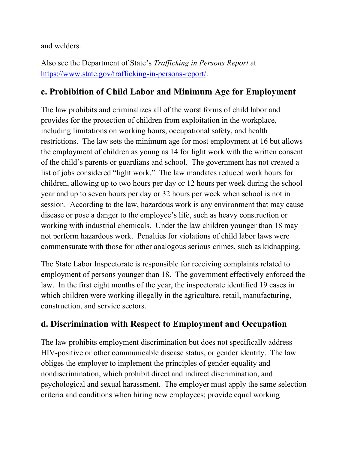and welders.

Also see the Department of State's *Trafficking in Persons Report* at [https://www.state.gov/trafficking-in-persons-report/.](https://www.state.gov/trafficking-in-persons-report/)

#### **c. Prohibition of Child Labor and Minimum Age for Employment**

The law prohibits and criminalizes all of the worst forms of child labor and provides for the protection of children from exploitation in the workplace, including limitations on working hours, occupational safety, and health restrictions. The law sets the minimum age for most employment at 16 but allows the employment of children as young as 14 for light work with the written consent of the child's parents or guardians and school. The government has not created a list of jobs considered "light work." The law mandates reduced work hours for children, allowing up to two hours per day or 12 hours per week during the school year and up to seven hours per day or 32 hours per week when school is not in session. According to the law, hazardous work is any environment that may cause disease or pose a danger to the employee's life, such as heavy construction or working with industrial chemicals. Under the law children younger than 18 may not perform hazardous work. Penalties for violations of child labor laws were commensurate with those for other analogous serious crimes, such as kidnapping.

The State Labor Inspectorate is responsible for receiving complaints related to employment of persons younger than 18. The government effectively enforced the law. In the first eight months of the year, the inspectorate identified 19 cases in which children were working illegally in the agriculture, retail, manufacturing, construction, and service sectors.

### **d. Discrimination with Respect to Employment and Occupation**

The law prohibits employment discrimination but does not specifically address HIV-positive or other communicable disease status, or gender identity. The law obliges the employer to implement the principles of gender equality and nondiscrimination, which prohibit direct and indirect discrimination, and psychological and sexual harassment. The employer must apply the same selection criteria and conditions when hiring new employees; provide equal working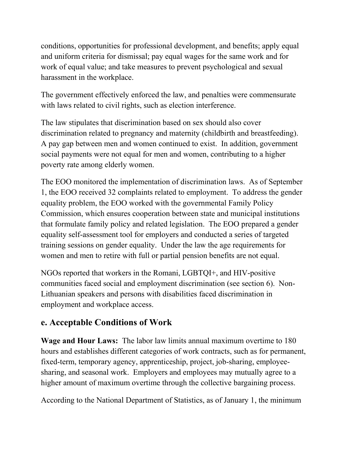conditions, opportunities for professional development, and benefits; apply equal and uniform criteria for dismissal; pay equal wages for the same work and for work of equal value; and take measures to prevent psychological and sexual harassment in the workplace.

The government effectively enforced the law, and penalties were commensurate with laws related to civil rights, such as election interference.

The law stipulates that discrimination based on sex should also cover discrimination related to pregnancy and maternity (childbirth and breastfeeding). A pay gap between men and women continued to exist. In addition, government social payments were not equal for men and women, contributing to a higher poverty rate among elderly women.

The EOO monitored the implementation of discrimination laws. As of September 1, the EOO received 32 complaints related to employment. To address the gender equality problem, the EOO worked with the governmental Family Policy Commission, which ensures cooperation between state and municipal institutions that formulate family policy and related legislation. The EOO prepared a gender equality self-assessment tool for employers and conducted a series of targeted training sessions on gender equality. Under the law the age requirements for women and men to retire with full or partial pension benefits are not equal.

NGOs reported that workers in the Romani, LGBTQI+, and HIV-positive communities faced social and employment discrimination (see section 6). Non-Lithuanian speakers and persons with disabilities faced discrimination in employment and workplace access.

# **e. Acceptable Conditions of Work**

**Wage and Hour Laws:** The labor law limits annual maximum overtime to 180 hours and establishes different categories of work contracts, such as for permanent, fixed-term, temporary agency, apprenticeship, project, job-sharing, employeesharing, and seasonal work. Employers and employees may mutually agree to a higher amount of maximum overtime through the collective bargaining process.

According to the National Department of Statistics, as of January 1, the minimum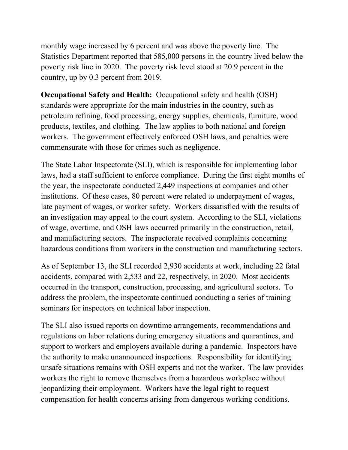monthly wage increased by 6 percent and was above the poverty line. The Statistics Department reported that 585,000 persons in the country lived below the poverty risk line in 2020. The poverty risk level stood at 20.9 percent in the country, up by 0.3 percent from 2019.

**Occupational Safety and Health:** Occupational safety and health (OSH) standards were appropriate for the main industries in the country, such as petroleum refining, food processing, energy supplies, chemicals, furniture, wood products, textiles, and clothing. The law applies to both national and foreign workers. The government effectively enforced OSH laws, and penalties were commensurate with those for crimes such as negligence.

The State Labor Inspectorate (SLI), which is responsible for implementing labor laws, had a staff sufficient to enforce compliance. During the first eight months of the year, the inspectorate conducted 2,449 inspections at companies and other institutions. Of these cases, 80 percent were related to underpayment of wages, late payment of wages, or worker safety. Workers dissatisfied with the results of an investigation may appeal to the court system. According to the SLI, violations of wage, overtime, and OSH laws occurred primarily in the construction, retail, and manufacturing sectors. The inspectorate received complaints concerning hazardous conditions from workers in the construction and manufacturing sectors.

As of September 13, the SLI recorded 2,930 accidents at work, including 22 fatal accidents, compared with 2,533 and 22, respectively, in 2020. Most accidents occurred in the transport, construction, processing, and agricultural sectors. To address the problem, the inspectorate continued conducting a series of training seminars for inspectors on technical labor inspection.

The SLI also issued reports on downtime arrangements, recommendations and regulations on labor relations during emergency situations and quarantines, and support to workers and employers available during a pandemic. Inspectors have the authority to make unannounced inspections. Responsibility for identifying unsafe situations remains with OSH experts and not the worker. The law provides workers the right to remove themselves from a hazardous workplace without jeopardizing their employment. Workers have the legal right to request compensation for health concerns arising from dangerous working conditions.